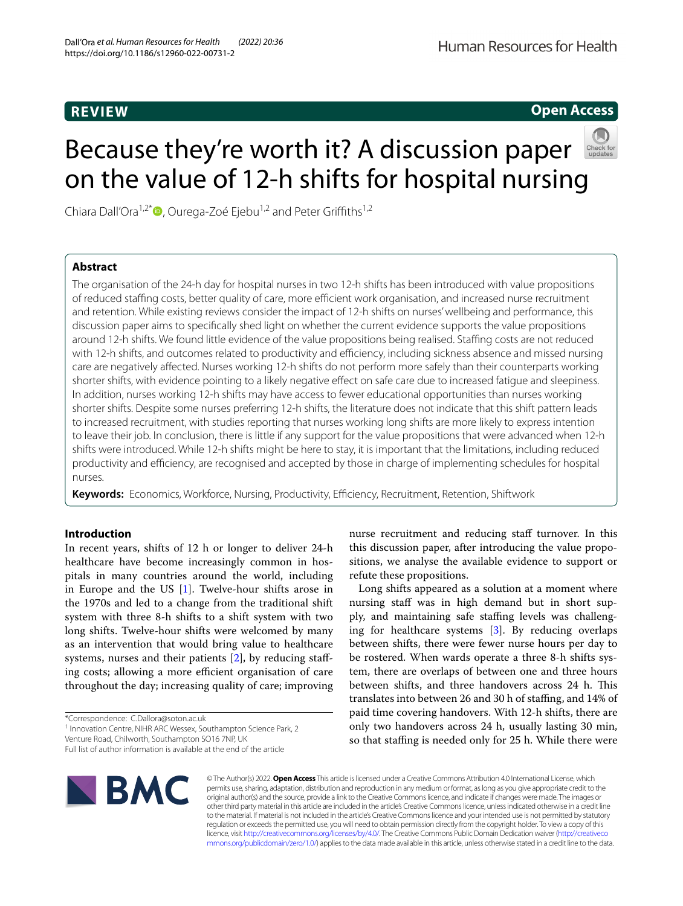# **REVIEW**

# **Open Access**



# Because they're worth it? A discussion paper on the value of 12-h shifts for hospital nursing

Chiara Dall'Ora<sup>1,2\*</sup><sup>(1)</sup>[,](http://orcid.org/0000-0002-6858-3535) Ourega-Zoé Ejebu<sup>1,2</sup> and Peter Griffiths<sup>1,2</sup>

## **Abstract**

The organisation of the 24-h day for hospital nurses in two 12-h shifts has been introduced with value propositions of reduced staffing costs, better quality of care, more efficient work organisation, and increased nurse recruitment and retention. While existing reviews consider the impact of 12-h shifts on nurses' wellbeing and performance, this discussion paper aims to specifcally shed light on whether the current evidence supports the value propositions around 12-h shifts. We found little evidence of the value propositions being realised. Staffing costs are not reduced with 12-h shifts, and outcomes related to productivity and efficiency, including sickness absence and missed nursing care are negatively afected. Nurses working 12-h shifts do not perform more safely than their counterparts working shorter shifts, with evidence pointing to a likely negative efect on safe care due to increased fatigue and sleepiness. In addition, nurses working 12-h shifts may have access to fewer educational opportunities than nurses working shorter shifts. Despite some nurses preferring 12-h shifts, the literature does not indicate that this shift pattern leads to increased recruitment, with studies reporting that nurses working long shifts are more likely to express intention to leave their job. In conclusion, there is little if any support for the value propositions that were advanced when 12-h shifts were introduced. While 12-h shifts might be here to stay, it is important that the limitations, including reduced productivity and efficiency, are recognised and accepted by those in charge of implementing schedules for hospital nurses.

Keywords: Economics, Workforce, Nursing, Productivity, Efficiency, Recruitment, Retention, Shiftwork

### **Introduction**

In recent years, shifts of 12 h or longer to deliver 24-h healthcare have become increasingly common in hospitals in many countries around the world, including in Europe and the US [\[1](#page-5-0)]. Twelve-hour shifts arose in the 1970s and led to a change from the traditional shift system with three 8-h shifts to a shift system with two long shifts. Twelve-hour shifts were welcomed by many as an intervention that would bring value to healthcare systems, nurses and their patients [[2\]](#page-5-1), by reducing stafing costs; allowing a more efficient organisation of care throughout the day; increasing quality of care; improving

<sup>1</sup> Innovation Centre, NIHR ARC Wessex, Southampton Science Park, 2

Full list of author information is available at the end of the article



© The Author(s) 2022. **Open Access** This article is licensed under a Creative Commons Attribution 4.0 International License, which permits use, sharing, adaptation, distribution and reproduction in any medium or format, as long as you give appropriate credit to the original author(s) and the source, provide a link to the Creative Commons licence, and indicate if changes were made. The images or other third party material in this article are included in the article's Creative Commons licence, unless indicated otherwise in a credit line to the material. If material is not included in the article's Creative Commons licence and your intended use is not permitted by statutory regulation or exceeds the permitted use, you will need to obtain permission directly from the copyright holder. To view a copy of this licence, visit [http://creativecommons.org/licenses/by/4.0/.](http://creativecommons.org/licenses/by/4.0/) The Creative Commons Public Domain Dedication waiver ([http://creativeco](http://creativecommons.org/publicdomain/zero/1.0/) [mmons.org/publicdomain/zero/1.0/](http://creativecommons.org/publicdomain/zero/1.0/)) applies to the data made available in this article, unless otherwise stated in a credit line to the data.

nurse recruitment and reducing staff turnover. In this this discussion paper, after introducing the value propositions, we analyse the available evidence to support or refute these propositions.

Long shifts appeared as a solution at a moment where nursing staff was in high demand but in short supply, and maintaining safe staffing levels was challenging for healthcare systems [\[3](#page-5-2)]. By reducing overlaps between shifts, there were fewer nurse hours per day to be rostered. When wards operate a three 8-h shifts system, there are overlaps of between one and three hours between shifts, and three handovers across 24 h. This translates into between 26 and 30 h of stafng, and 14% of paid time covering handovers. With 12-h shifts, there are only two handovers across 24 h, usually lasting 30 min, so that staffing is needed only for 25 h. While there were

<sup>\*</sup>Correspondence: C.Dallora@soton.ac.uk

Venture Road, Chilworth, Southampton SO16 7NP, UK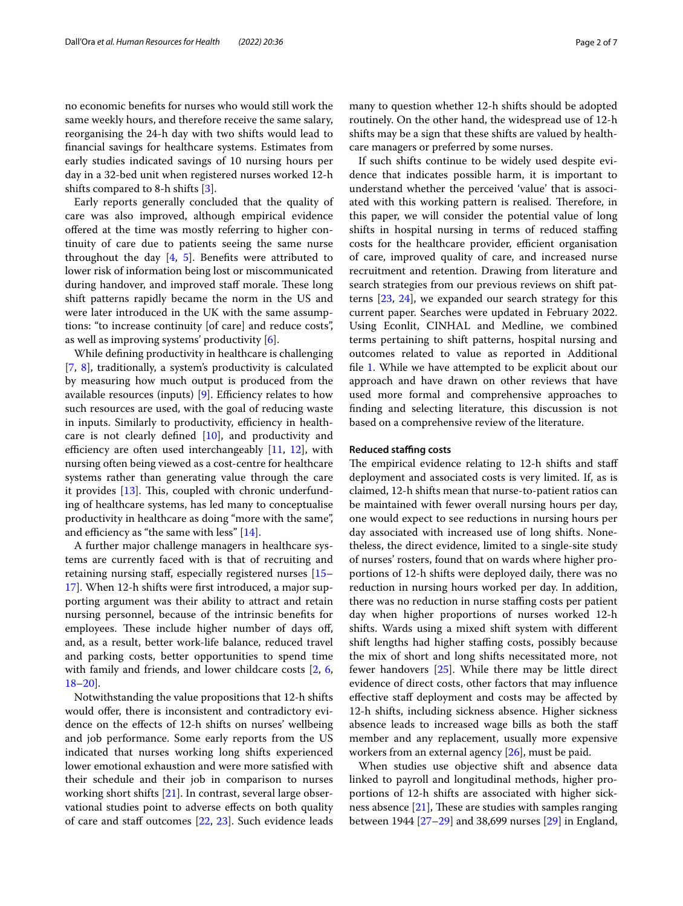no economic benefts for nurses who would still work the same weekly hours, and therefore receive the same salary, reorganising the 24-h day with two shifts would lead to fnancial savings for healthcare systems. Estimates from early studies indicated savings of 10 nursing hours per day in a 32-bed unit when registered nurses worked 12-h shifts compared to 8-h shifts  $[3]$  $[3]$ .

Early reports generally concluded that the quality of care was also improved, although empirical evidence offered at the time was mostly referring to higher continuity of care due to patients seeing the same nurse throughout the day  $[4, 5]$  $[4, 5]$  $[4, 5]$  $[4, 5]$ . Benefits were attributed to lower risk of information being lost or miscommunicated during handover, and improved staff morale. These long shift patterns rapidly became the norm in the US and were later introduced in the UK with the same assumptions: "to increase continuity [of care] and reduce costs", as well as improving systems' productivity [\[6](#page-5-5)].

While defning productivity in healthcare is challenging [[7,](#page-5-6) [8\]](#page-5-7), traditionally, a system's productivity is calculated by measuring how much output is produced from the available resources (inputs)  $[9]$  $[9]$  $[9]$ . Efficiency relates to how such resources are used, with the goal of reducing waste in inputs. Similarly to productivity, efficiency in healthcare is not clearly defned [[10](#page-5-9)], and productivity and efficiency are often used interchangeably  $[11, 12]$  $[11, 12]$  $[11, 12]$  $[11, 12]$ , with nursing often being viewed as a cost-centre for healthcare systems rather than generating value through the care it provides  $[13]$ . This, coupled with chronic underfunding of healthcare systems, has led many to conceptualise productivity in healthcare as doing "more with the same", and efficiency as "the same with less"  $[14]$  $[14]$ .

A further major challenge managers in healthcare systems are currently faced with is that of recruiting and retaining nursing staf, especially registered nurses [[15–](#page-5-14) [17\]](#page-5-15). When 12-h shifts were frst introduced, a major supporting argument was their ability to attract and retain nursing personnel, because of the intrinsic benefts for employees. These include higher number of days off, and, as a result, better work-life balance, reduced travel and parking costs, better opportunities to spend time with family and friends, and lower childcare costs [[2,](#page-5-1) [6](#page-5-5), [18–](#page-5-16)[20](#page-5-17)].

Notwithstanding the value propositions that 12-h shifts would offer, there is inconsistent and contradictory evidence on the efects of 12-h shifts on nurses' wellbeing and job performance. Some early reports from the US indicated that nurses working long shifts experienced lower emotional exhaustion and were more satisfed with their schedule and their job in comparison to nurses working short shifts [\[21](#page-5-18)]. In contrast, several large observational studies point to adverse efects on both quality of care and staff outcomes [[22](#page-5-19), [23\]](#page-6-0). Such evidence leads many to question whether 12-h shifts should be adopted routinely. On the other hand, the widespread use of 12-h shifts may be a sign that these shifts are valued by healthcare managers or preferred by some nurses.

If such shifts continue to be widely used despite evidence that indicates possible harm, it is important to understand whether the perceived 'value' that is associated with this working pattern is realised. Therefore, in this paper, we will consider the potential value of long shifts in hospital nursing in terms of reduced staffing costs for the healthcare provider, efficient organisation of care, improved quality of care, and increased nurse recruitment and retention. Drawing from literature and search strategies from our previous reviews on shift patterns [\[23](#page-6-0), [24\]](#page-6-1), we expanded our search strategy for this current paper. Searches were updated in February 2022. Using Econlit, CINHAL and Medline, we combined terms pertaining to shift patterns, hospital nursing and outcomes related to value as reported in Additional fle [1](#page-5-20). While we have attempted to be explicit about our approach and have drawn on other reviews that have used more formal and comprehensive approaches to fnding and selecting literature, this discussion is not based on a comprehensive review of the literature.

#### **Reduced stafng costs**

The empirical evidence relating to 12-h shifts and staff deployment and associated costs is very limited. If, as is claimed, 12-h shifts mean that nurse-to-patient ratios can be maintained with fewer overall nursing hours per day, one would expect to see reductions in nursing hours per day associated with increased use of long shifts. Nonetheless, the direct evidence, limited to a single-site study of nurses' rosters, found that on wards where higher proportions of 12-h shifts were deployed daily, there was no reduction in nursing hours worked per day. In addition, there was no reduction in nurse staffing costs per patient day when higher proportions of nurses worked 12-h shifts. Wards using a mixed shift system with diferent shift lengths had higher staffing costs, possibly because the mix of short and long shifts necessitated more, not fewer handovers [[25](#page-6-2)]. While there may be little direct evidence of direct costs, other factors that may infuence efective staf deployment and costs may be afected by 12-h shifts, including sickness absence. Higher sickness absence leads to increased wage bills as both the staf member and any replacement, usually more expensive workers from an external agency [\[26](#page-6-3)], must be paid.

When studies use objective shift and absence data linked to payroll and longitudinal methods, higher proportions of 12-h shifts are associated with higher sickness absence  $[21]$  $[21]$ , These are studies with samples ranging between 1944 [[27–](#page-6-4)[29](#page-6-5)] and 38,699 nurses [[29\]](#page-6-5) in England,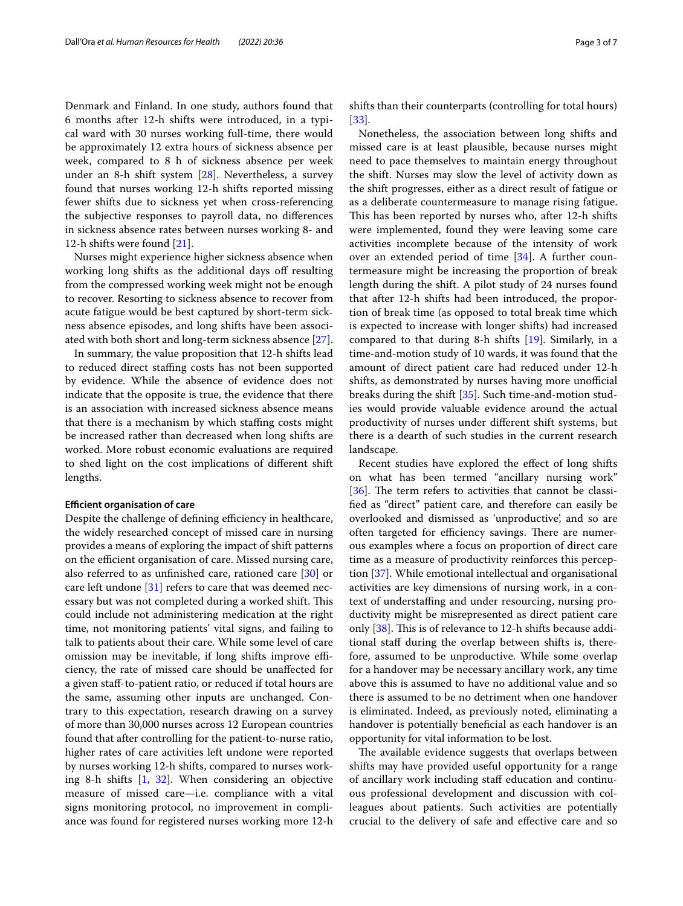Denmark and Finland. In one study, authors found that 6 months after 12-h shifts were introduced, in a typical ward with 30 nurses working full-time, there would be approximately 12 extra hours of sickness absence per week, compared to 8 h of sickness absence per week under an 8-h shift system [[28\]](#page-6-6). Nevertheless, a survey found that nurses working 12-h shifts reported missing fewer shifts due to sickness yet when cross-referencing the subjective responses to payroll data, no diferences in sickness absence rates between nurses working 8- and 12-h shifts were found [[21](#page-5-18)].

Nurses might experience higher sickness absence when working long shifts as the additional days off resulting from the compressed working week might not be enough to recover. Resorting to sickness absence to recover from acute fatigue would be best captured by short-term sickness absence episodes, and long shifts have been associated with both short and long-term sickness absence [\[27](#page-6-4)].

In summary, the value proposition that 12-h shifts lead to reduced direct stafng costs has not been supported by evidence. While the absence of evidence does not indicate that the opposite is true, the evidence that there is an association with increased sickness absence means that there is a mechanism by which stafng costs might be increased rather than decreased when long shifts are worked. More robust economic evaluations are required to shed light on the cost implications of diferent shift lengths.

#### **Efficient organisation of care**

Despite the challenge of defining efficiency in healthcare, the widely researched concept of missed care in nursing provides a means of exploring the impact of shift patterns on the efficient organisation of care. Missed nursing care, also referred to as unfnished care, rationed care [\[30](#page-6-7)] or care left undone [\[31\]](#page-6-8) refers to care that was deemed necessary but was not completed during a worked shift. This could include not administering medication at the right time, not monitoring patients' vital signs, and failing to talk to patients about their care. While some level of care omission may be inevitable, if long shifts improve efficiency, the rate of missed care should be unafected for a given staf-to-patient ratio, or reduced if total hours are the same, assuming other inputs are unchanged. Contrary to this expectation, research drawing on a survey of more than 30,000 nurses across 12 European countries found that after controlling for the patient-to-nurse ratio, higher rates of care activities left undone were reported by nurses working 12-h shifts, compared to nurses working 8-h shifts [[1](#page-5-0), [32](#page-6-9)]. When considering an objective measure of missed care—i.e. compliance with a vital signs monitoring protocol, no improvement in compliance was found for registered nurses working more 12-h

shifts than their counterparts (controlling for total hours) [[33\]](#page-6-10).

Nonetheless, the association between long shifts and missed care is at least plausible, because nurses might need to pace themselves to maintain energy throughout the shift. Nurses may slow the level of activity down as the shift progresses, either as a direct result of fatigue or as a deliberate countermeasure to manage rising fatigue. This has been reported by nurses who, after 12-h shifts were implemented, found they were leaving some care activities incomplete because of the intensity of work over an extended period of time [\[34\]](#page-6-11). A further countermeasure might be increasing the proportion of break length during the shift. A pilot study of 24 nurses found that after 12-h shifts had been introduced, the proportion of break time (as opposed to total break time which is expected to increase with longer shifts) had increased compared to that during 8-h shifts [[19\]](#page-5-21). Similarly, in a time-and-motion study of 10 wards, it was found that the amount of direct patient care had reduced under 12-h shifts, as demonstrated by nurses having more unofficial breaks during the shift [\[35](#page-6-12)]. Such time-and-motion studies would provide valuable evidence around the actual productivity of nurses under diferent shift systems, but there is a dearth of such studies in the current research landscape.

Recent studies have explored the efect of long shifts on what has been termed "ancillary nursing work" [ $36$ ]. The term refers to activities that cannot be classifed as "direct" patient care, and therefore can easily be overlooked and dismissed as 'unproductive', and so are often targeted for efficiency savings. There are numerous examples where a focus on proportion of direct care time as a measure of productivity reinforces this perception [[37\]](#page-6-14). While emotional intellectual and organisational activities are key dimensions of nursing work, in a context of understafng and under resourcing, nursing productivity might be misrepresented as direct patient care only  $[38]$  $[38]$ . This is of relevance to 12-h shifts because additional staf during the overlap between shifts is, therefore, assumed to be unproductive. While some overlap for a handover may be necessary ancillary work, any time above this is assumed to have no additional value and so there is assumed to be no detriment when one handover is eliminated. Indeed, as previously noted, eliminating a handover is potentially benefcial as each handover is an opportunity for vital information to be lost.

The available evidence suggests that overlaps between shifts may have provided useful opportunity for a range of ancillary work including staf education and continuous professional development and discussion with colleagues about patients. Such activities are potentially crucial to the delivery of safe and efective care and so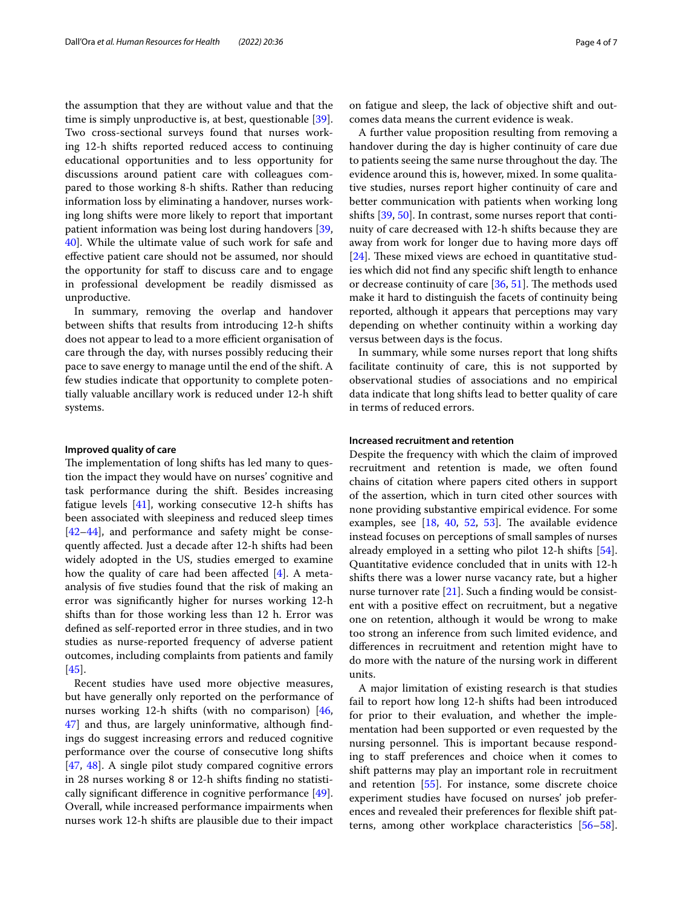the assumption that they are without value and that the time is simply unproductive is, at best, questionable [\[39](#page-6-16)]. Two cross-sectional surveys found that nurses working 12-h shifts reported reduced access to continuing educational opportunities and to less opportunity for discussions around patient care with colleagues compared to those working 8-h shifts. Rather than reducing information loss by eliminating a handover, nurses working long shifts were more likely to report that important patient information was being lost during handovers [\[39](#page-6-16), [40\]](#page-6-17). While the ultimate value of such work for safe and efective patient care should not be assumed, nor should the opportunity for staf to discuss care and to engage in professional development be readily dismissed as unproductive.

In summary, removing the overlap and handover between shifts that results from introducing 12-h shifts does not appear to lead to a more efficient organisation of care through the day, with nurses possibly reducing their pace to save energy to manage until the end of the shift. A few studies indicate that opportunity to complete potentially valuable ancillary work is reduced under 12-h shift systems.

#### **Improved quality of care**

The implementation of long shifts has led many to question the impact they would have on nurses' cognitive and task performance during the shift. Besides increasing fatigue levels [\[41](#page-6-18)], working consecutive 12-h shifts has been associated with sleepiness and reduced sleep times [[42–](#page-6-19)[44](#page-6-20)], and performance and safety might be consequently afected. Just a decade after 12-h shifts had been widely adopted in the US, studies emerged to examine how the quality of care had been affected  $[4]$  $[4]$ . A metaanalysis of fve studies found that the risk of making an error was signifcantly higher for nurses working 12-h shifts than for those working less than 12 h. Error was defned as self-reported error in three studies, and in two studies as nurse-reported frequency of adverse patient outcomes, including complaints from patients and family [[45\]](#page-6-21).

Recent studies have used more objective measures, but have generally only reported on the performance of nurses working 12-h shifts (with no comparison) [\[46](#page-6-22), [47\]](#page-6-23) and thus, are largely uninformative, although fndings do suggest increasing errors and reduced cognitive performance over the course of consecutive long shifts [[47,](#page-6-23) [48](#page-6-24)]. A single pilot study compared cognitive errors in 28 nurses working 8 or 12-h shifts fnding no statistically signifcant diference in cognitive performance [\[49](#page-6-25)]. Overall, while increased performance impairments when nurses work 12-h shifts are plausible due to their impact on fatigue and sleep, the lack of objective shift and outcomes data means the current evidence is weak.

A further value proposition resulting from removing a handover during the day is higher continuity of care due to patients seeing the same nurse throughout the day. The evidence around this is, however, mixed. In some qualitative studies, nurses report higher continuity of care and better communication with patients when working long shifts [\[39](#page-6-16), [50\]](#page-6-26). In contrast, some nurses report that continuity of care decreased with 12-h shifts because they are away from work for longer due to having more days of  $[24]$  $[24]$ . These mixed views are echoed in quantitative studies which did not fnd any specifc shift length to enhance or decrease continuity of care  $[36, 51]$  $[36, 51]$  $[36, 51]$ . The methods used make it hard to distinguish the facets of continuity being reported, although it appears that perceptions may vary depending on whether continuity within a working day versus between days is the focus.

In summary, while some nurses report that long shifts facilitate continuity of care, this is not supported by observational studies of associations and no empirical data indicate that long shifts lead to better quality of care in terms of reduced errors.

#### **Increased recruitment and retention**

Despite the frequency with which the claim of improved recruitment and retention is made, we often found chains of citation where papers cited others in support of the assertion, which in turn cited other sources with none providing substantive empirical evidence. For some examples, see  $[18, 40, 52, 53]$  $[18, 40, 52, 53]$  $[18, 40, 52, 53]$  $[18, 40, 52, 53]$  $[18, 40, 52, 53]$  $[18, 40, 52, 53]$  $[18, 40, 52, 53]$ . The available evidence instead focuses on perceptions of small samples of nurses already employed in a setting who pilot 12-h shifts [\[54](#page-6-30)]. Quantitative evidence concluded that in units with 12-h shifts there was a lower nurse vacancy rate, but a higher nurse turnover rate  $[21]$ . Such a finding would be consistent with a positive efect on recruitment, but a negative one on retention, although it would be wrong to make too strong an inference from such limited evidence, and diferences in recruitment and retention might have to do more with the nature of the nursing work in diferent units.

A major limitation of existing research is that studies fail to report how long 12-h shifts had been introduced for prior to their evaluation, and whether the implementation had been supported or even requested by the nursing personnel. This is important because responding to staff preferences and choice when it comes to shift patterns may play an important role in recruitment and retention [\[55\]](#page-6-31). For instance, some discrete choice experiment studies have focused on nurses' job preferences and revealed their preferences for fexible shift patterns, among other workplace characteristics [[56](#page-6-32)[–58](#page-6-33)].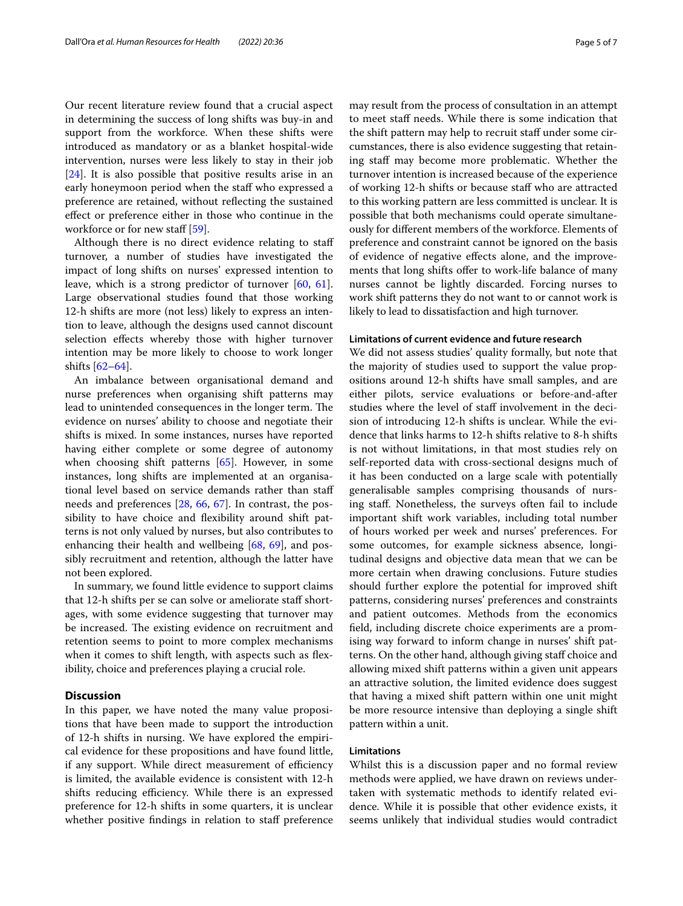Our recent literature review found that a crucial aspect in determining the success of long shifts was buy-in and support from the workforce. When these shifts were introduced as mandatory or as a blanket hospital-wide intervention, nurses were less likely to stay in their job [[24\]](#page-6-1). It is also possible that positive results arise in an early honeymoon period when the staff who expressed a preference are retained, without refecting the sustained efect or preference either in those who continue in the workforce or for new staff [[59\]](#page-6-34).

Although there is no direct evidence relating to staf turnover, a number of studies have investigated the impact of long shifts on nurses' expressed intention to leave, which is a strong predictor of turnover [\[60,](#page-6-35) [61](#page-6-36)]. Large observational studies found that those working 12-h shifts are more (not less) likely to express an intention to leave, although the designs used cannot discount selection effects whereby those with higher turnover intention may be more likely to choose to work longer shifts [\[62](#page-6-37)–[64\]](#page-6-38).

An imbalance between organisational demand and nurse preferences when organising shift patterns may lead to unintended consequences in the longer term. The evidence on nurses' ability to choose and negotiate their shifts is mixed. In some instances, nurses have reported having either complete or some degree of autonomy when choosing shift patterns [\[65](#page-6-39)]. However, in some instances, long shifts are implemented at an organisational level based on service demands rather than staf needs and preferences [[28,](#page-6-6) [66,](#page-6-40) [67](#page-6-41)]. In contrast, the possibility to have choice and fexibility around shift patterns is not only valued by nurses, but also contributes to enhancing their health and wellbeing [\[68](#page-6-42), [69\]](#page-6-43), and possibly recruitment and retention, although the latter have not been explored.

In summary, we found little evidence to support claims that 12-h shifts per se can solve or ameliorate staf shortages, with some evidence suggesting that turnover may be increased. The existing evidence on recruitment and retention seems to point to more complex mechanisms when it comes to shift length, with aspects such as flexibility, choice and preferences playing a crucial role.

#### **Discussion**

In this paper, we have noted the many value propositions that have been made to support the introduction of 12-h shifts in nursing. We have explored the empirical evidence for these propositions and have found little, if any support. While direct measurement of efficiency is limited, the available evidence is consistent with 12-h shifts reducing efficiency. While there is an expressed preference for 12-h shifts in some quarters, it is unclear whether positive findings in relation to staff preference may result from the process of consultation in an attempt to meet staff needs. While there is some indication that the shift pattern may help to recruit staf under some circumstances, there is also evidence suggesting that retaining staf may become more problematic. Whether the turnover intention is increased because of the experience of working 12-h shifts or because staff who are attracted to this working pattern are less committed is unclear. It is possible that both mechanisms could operate simultaneously for diferent members of the workforce. Elements of preference and constraint cannot be ignored on the basis of evidence of negative efects alone, and the improvements that long shifts offer to work-life balance of many nurses cannot be lightly discarded. Forcing nurses to work shift patterns they do not want to or cannot work is likely to lead to dissatisfaction and high turnover.

#### **Limitations of current evidence and future research**

We did not assess studies' quality formally, but note that the majority of studies used to support the value propositions around 12-h shifts have small samples, and are either pilots, service evaluations or before-and-after studies where the level of staff involvement in the decision of introducing 12-h shifts is unclear. While the evidence that links harms to 12-h shifts relative to 8-h shifts is not without limitations, in that most studies rely on self-reported data with cross-sectional designs much of it has been conducted on a large scale with potentially generalisable samples comprising thousands of nursing staf. Nonetheless, the surveys often fail to include important shift work variables, including total number of hours worked per week and nurses' preferences. For some outcomes, for example sickness absence, longitudinal designs and objective data mean that we can be more certain when drawing conclusions. Future studies should further explore the potential for improved shift patterns, considering nurses' preferences and constraints and patient outcomes. Methods from the economics feld, including discrete choice experiments are a promising way forward to inform change in nurses' shift patterns. On the other hand, although giving staff choice and allowing mixed shift patterns within a given unit appears an attractive solution, the limited evidence does suggest that having a mixed shift pattern within one unit might be more resource intensive than deploying a single shift pattern within a unit.

#### **Limitations**

Whilst this is a discussion paper and no formal review methods were applied, we have drawn on reviews undertaken with systematic methods to identify related evidence. While it is possible that other evidence exists, it seems unlikely that individual studies would contradict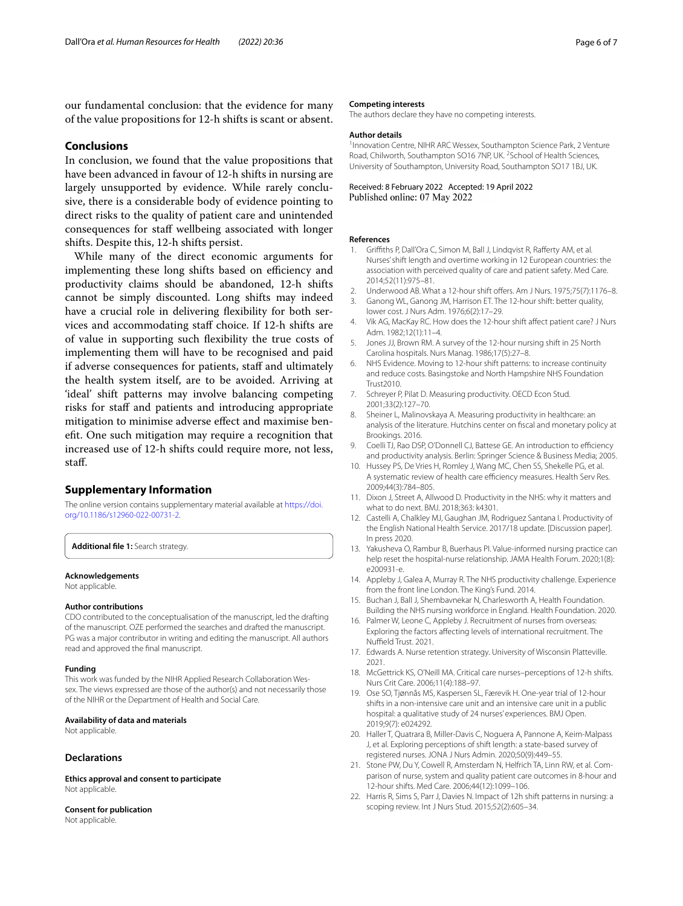our fundamental conclusion: that the evidence for many of the value propositions for 12-h shifts is scant or absent.

#### **Conclusions**

In conclusion, we found that the value propositions that have been advanced in favour of 12-h shifts in nursing are largely unsupported by evidence. While rarely conclusive, there is a considerable body of evidence pointing to direct risks to the quality of patient care and unintended consequences for staf wellbeing associated with longer shifts. Despite this, 12-h shifts persist.

While many of the direct economic arguments for implementing these long shifts based on efficiency and productivity claims should be abandoned, 12-h shifts cannot be simply discounted. Long shifts may indeed have a crucial role in delivering fexibility for both services and accommodating staf choice. If 12-h shifts are of value in supporting such fexibility the true costs of implementing them will have to be recognised and paid if adverse consequences for patients, staff and ultimately the health system itself, are to be avoided. Arriving at 'ideal' shift patterns may involve balancing competing risks for staff and patients and introducing appropriate mitigation to minimise adverse efect and maximise beneft. One such mitigation may require a recognition that increased use of 12-h shifts could require more, not less, staf.

#### **Supplementary Information**

The online version contains supplementary material available at [https://doi.](https://doi.org/10.1186/s12960-022-00731-2) [org/10.1186/s12960-022-00731-2](https://doi.org/10.1186/s12960-022-00731-2).

<span id="page-5-20"></span>**Additional fle 1:** Search strategy.

#### **Acknowledgements**

Not applicable.

#### **Author contributions**

CDO contributed to the conceptualisation of the manuscript, led the drafting of the manuscript. OZE performed the searches and drafted the manuscript. PG was a major contributor in writing and editing the manuscript. All authors read and approved the fnal manuscript.

#### **Funding**

This work was funded by the NIHR Applied Research Collaboration Wessex. The views expressed are those of the author(s) and not necessarily those of the NIHR or the Department of Health and Social Care.

#### **Availability of data and materials**

Not applicable.

#### **Declarations**

**Ethics approval and consent to participate** Not applicable.

#### **Consent for publication**

Not applicable.

#### **Competing interests**

The authors declare they have no competing interests.

#### **Author details**

<sup>1</sup> Innovation Centre, NIHR ARC Wessex, Southampton Science Park, 2 Venture Road, Chilworth, Southampton SO16 7NP, UK. <sup>2</sup> School of Health Sciences, University of Southampton, University Road, Southampton SO17 1BJ, UK.

# Received: 8 February 2022 Accepted: 19 April 2022

#### **References**

- <span id="page-5-0"></span>1. Grifths P, Dall'Ora C, Simon M, Ball J, Lindqvist R, Raferty AM, et al. Nurses' shift length and overtime working in 12 European countries: the association with perceived quality of care and patient safety. Med Care. 2014;52(11):975–81.
- <span id="page-5-1"></span>2. Underwood AB. What a 12-hour shift offers. Am J Nurs. 1975;75(7):1176-8.
- <span id="page-5-2"></span>3. Ganong WL, Ganong JM, Harrison ET. The 12-hour shift: better quality, lower cost. J Nurs Adm. 1976;6(2):17–29.
- <span id="page-5-3"></span>4. Vik AG, MacKay RC. How does the 12-hour shift affect patient care? J Nurs Adm. 1982;12(1):11–4.
- <span id="page-5-4"></span>5. Jones JJ, Brown RM. A survey of the 12-hour nursing shift in 25 North Carolina hospitals. Nurs Manag. 1986;17(5):27–8.
- <span id="page-5-5"></span>6. NHS Evidence. Moving to 12-hour shift patterns: to increase continuity and reduce costs. Basingstoke and North Hampshire NHS Foundation Trust2010.
- <span id="page-5-6"></span>7. Schreyer P, Pilat D. Measuring productivity. OECD Econ Stud. 2001;33(2):127–70.
- <span id="page-5-7"></span>8. Sheiner L, Malinovskaya A. Measuring productivity in healthcare: an analysis of the literature. Hutchins center on fscal and monetary policy at Brookings. 2016.
- <span id="page-5-8"></span>9. Coelli TJ, Rao DSP, O'Donnell CJ, Battese GE. An introduction to efficiency and productivity analysis. Berlin: Springer Science & Business Media; 2005.
- <span id="page-5-9"></span>10. Hussey PS, De Vries H, Romley J, Wang MC, Chen SS, Shekelle PG, et al. A systematic review of health care efficiency measures. Health Serv Res. 2009;44(3):784–805.
- <span id="page-5-10"></span>11. Dixon J, Street A, Allwood D. Productivity in the NHS: why it matters and what to do next. BMJ. 2018;363: k4301.
- <span id="page-5-11"></span>12. Castelli A, Chalkley MJ, Gaughan JM, Rodriguez Santana I. Productivity of the English National Health Service. 2017/18 update. [Discussion paper]. In press 2020.
- <span id="page-5-12"></span>13. Yakusheva O, Rambur B, Buerhaus PI. Value-informed nursing practice can help reset the hospital-nurse relationship. JAMA Health Forum. 2020;1(8): e200931-e.
- <span id="page-5-13"></span>14. Appleby J, Galea A, Murray R. The NHS productivity challenge. Experience from the front line London. The King's Fund. 2014.
- <span id="page-5-14"></span>15. Buchan J, Ball J, Shembavnekar N, Charlesworth A, Health Foundation. Building the NHS nursing workforce in England. Health Foundation. 2020.
- 16. Palmer W, Leone C, Appleby J. Recruitment of nurses from overseas: Exploring the factors afecting levels of international recruitment. The Nuffield Trust. 2021.
- <span id="page-5-15"></span>17. Edwards A. Nurse retention strategy. University of Wisconsin Platteville. 2021.
- <span id="page-5-16"></span>18. McGettrick KS, O'Neill MA. Critical care nurses–perceptions of 12-h shifts. Nurs Crit Care. 2006;11(4):188–97.
- <span id="page-5-21"></span>19. Ose SO, Tjønnås MS, Kaspersen SL, Færevik H. One-year trial of 12-hour shifts in a non-intensive care unit and an intensive care unit in a public hospital: a qualitative study of 24 nurses' experiences. BMJ Open. 2019;9(7): e024292.
- <span id="page-5-17"></span>20. Haller T, Quatrara B, Miller-Davis C, Noguera A, Pannone A, Keim-Malpass J, et al. Exploring perceptions of shift length: a state-based survey of registered nurses. JONA J Nurs Admin. 2020;50(9):449–55.
- <span id="page-5-18"></span>21. Stone PW, Du Y, Cowell R, Amsterdam N, Helfrich TA, Linn RW, et al. Comparison of nurse, system and quality patient care outcomes in 8-hour and 12-hour shifts. Med Care. 2006;44(12):1099–106.
- <span id="page-5-19"></span>22. Harris R, Sims S, Parr J, Davies N. Impact of 12h shift patterns in nursing: a scoping review. Int J Nurs Stud. 2015;52(2):605–34.